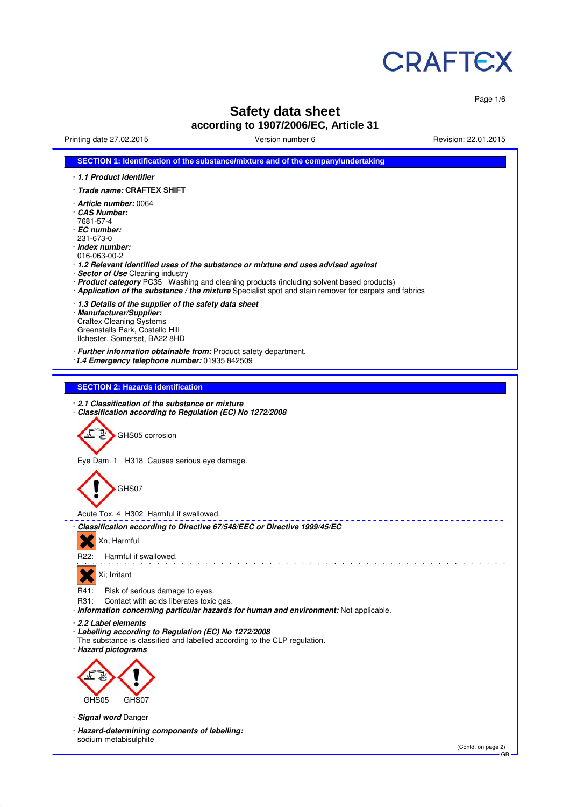

Page 1/6

# **Safety data sheet**

# **according to 1907/2006/EC, Article 31**

Printing date 27.02.2015 Version number 6 Revision: 22.01.2015

| SECTION 1: Identification of the substance/mixture and of the company/undertaking                                                                                                                                                                                                                                                                                                                                                                    |
|------------------------------------------------------------------------------------------------------------------------------------------------------------------------------------------------------------------------------------------------------------------------------------------------------------------------------------------------------------------------------------------------------------------------------------------------------|
| 1.1 Product identifier                                                                                                                                                                                                                                                                                                                                                                                                                               |
| · Trade name: CRAFTEX SHIFT                                                                                                                                                                                                                                                                                                                                                                                                                          |
| · Article number: 0064<br>CAS Number:<br>7681-57-4<br>· EC number:<br>231-673-0<br>· Index number:<br>016-063-00-2<br>· 1.2 Relevant identified uses of the substance or mixture and uses advised against<br>· Sector of Use Cleaning industry<br>· Product category PC35 Washing and cleaning products (including solvent based products)<br>· Application of the substance / the mixture Specialist spot and stain remover for carpets and fabrics |
| 1.3 Details of the supplier of the safety data sheet<br>· Manufacturer/Supplier:<br><b>Craftex Cleaning Systems</b><br>Greenstalls Park, Costello Hill<br>Ilchester, Somerset, BA22 8HD                                                                                                                                                                                                                                                              |
| · Further information obtainable from: Product safety department.<br>1.4 Emergency telephone number: 01935 842509                                                                                                                                                                                                                                                                                                                                    |
|                                                                                                                                                                                                                                                                                                                                                                                                                                                      |
| <b>SECTION 2: Hazards identification</b>                                                                                                                                                                                                                                                                                                                                                                                                             |
| 2.1 Classification of the substance or mixture<br>Classification according to Regulation (EC) No 1272/2008<br>GHS05 corrosion<br>Eye Dam. 1 H318 Causes serious eye damage.<br>GHS07<br>Acute Tox. 4 H302 Harmful if swallowed.                                                                                                                                                                                                                      |
| Classification according to Directive 67/548/EEC or Directive 1999/45/EC                                                                                                                                                                                                                                                                                                                                                                             |
| Xn; Harmful                                                                                                                                                                                                                                                                                                                                                                                                                                          |
| Harmful if swallowed.<br>R22:                                                                                                                                                                                                                                                                                                                                                                                                                        |
| Xi; Irritant                                                                                                                                                                                                                                                                                                                                                                                                                                         |
| <u>vv</u><br>R41:<br>Risk of serious damage to eyes.<br>R31:<br>Contact with acids liberates toxic gas.<br>· Information concerning particular hazards for human and environment: Not applicable.                                                                                                                                                                                                                                                    |
| 2.2 Label elements<br>Labelling according to Regulation (EC) No 1272/2008<br>The substance is classified and labelled according to the CLP regulation.<br>· Hazard pictograms<br>GHS05<br>GHS07<br>· Signal word Danger<br>· Hazard-determining components of labelling:                                                                                                                                                                             |
| sodium metabisulphite<br>(Contd. on page 2)                                                                                                                                                                                                                                                                                                                                                                                                          |
| GB                                                                                                                                                                                                                                                                                                                                                                                                                                                   |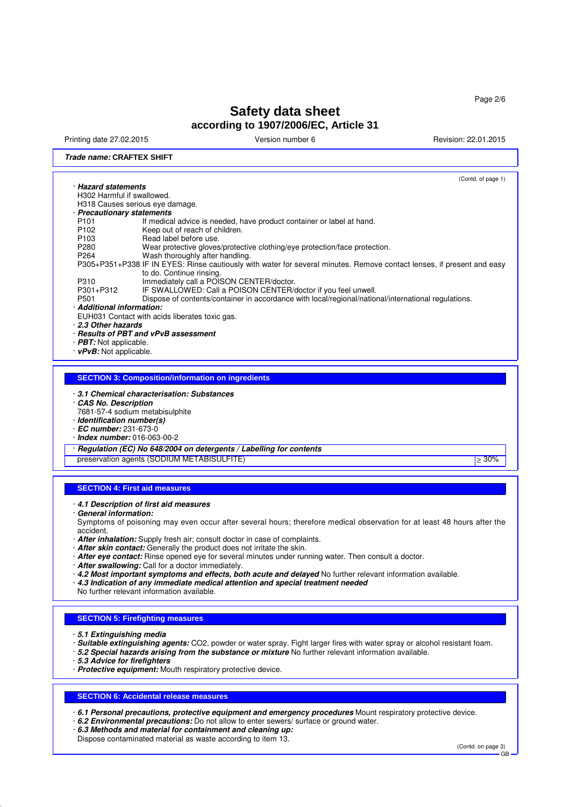Printing date 27.02.2015 Version number 6 Revision: 22.01.2015

## **Trade name: CRAFTEX SHIFT**

(Contd. of page 1) · **Hazard statements** H302 Harmful if swallowed. H318 Causes serious eye damage. · **Precautionary statements** P101 If medical advice is needed, have product container or label at hand.<br>P102 Keep out of reach of children P102 Keep out of reach of children.<br>P103 Read label before use. P103 Read label before use.<br>P280 Wear protective gloves P280 Wear protective gloves/protective clothing/eye protection/face protection.<br>P264 Wash thoroughly after handling. Wash thoroughly after handling. P305+P351+P338 IF IN EYES: Rinse cautiously with water for several minutes. Remove contact lenses, if present and easy to do. Continue rinsing. P310 Immediately call a POISON CENTER/doctor.<br>P301+P312 IF SWALLOWED: Call a POISON CENTER/ P301+P312 IF SWALLOWED: Call a POISON CENTER/doctor if you feel unwell.<br>P501 P501 Dispose of contents/container in accordance with local/regional/nation Dispose of contents/container in accordance with local/regional/national/international regulations. · **Additional information:** EUH031 Contact with acids liberates toxic gas. · **2.3 Other hazards** · **Results of PBT and vPvB assessment** · **PBT:** Not applicable. · **vPvB:** Not applicable. **SECTION 3: Composition/information on ingredients** · **3.1 Chemical characterisation: Substances** · **CAS No. Description** 7681-57-4 sodium metabisulphite · **Identification number(s)** · **EC number:** 231-673-0 · **Index number:** 016-063-00-2 · **Regulation (EC) No 648/2004 on detergents / Labelling for contents** preservation agents (SODIUM METABISULFITE) ≥ 30%

## **SECTION 4: First aid measures**

#### · **4.1 Description of first aid measures**

· **General information:**

Symptoms of poisoning may even occur after several hours; therefore medical observation for at least 48 hours after the accident.

- · **After inhalation:** Supply fresh air; consult doctor in case of complaints.
- · **After skin contact:** Generally the product does not irritate the skin.
- · **After eye contact:** Rinse opened eye for several minutes under running water. Then consult a doctor.
- · **After swallowing:** Call for a doctor immediately.
- · **4.2 Most important symptoms and effects, both acute and delayed** No further relevant information available.
- · **4.3 Indication of any immediate medical attention and special treatment needed**

No further relevant information available.

## **SECTION 5: Firefighting measures**

· **5.1 Extinguishing media**

- · **Suitable extinguishing agents:** CO2, powder or water spray. Fight larger fires with water spray or alcohol resistant foam.
- · **5.2 Special hazards arising from the substance or mixture** No further relevant information available.
- · **5.3 Advice for firefighters**
- · **Protective equipment:** Mouth respiratory protective device.

## **SECTION 6: Accidental release measures**

· **6.1 Personal precautions, protective equipment and emergency procedures** Mount respiratory protective device.

- · **6.2 Environmental precautions:** Do not allow to enter sewers/ surface or ground water.
- · **6.3 Methods and material for containment and cleaning up:** Dispose contaminated material as waste according to item 13.

(Contd. on page 3) GB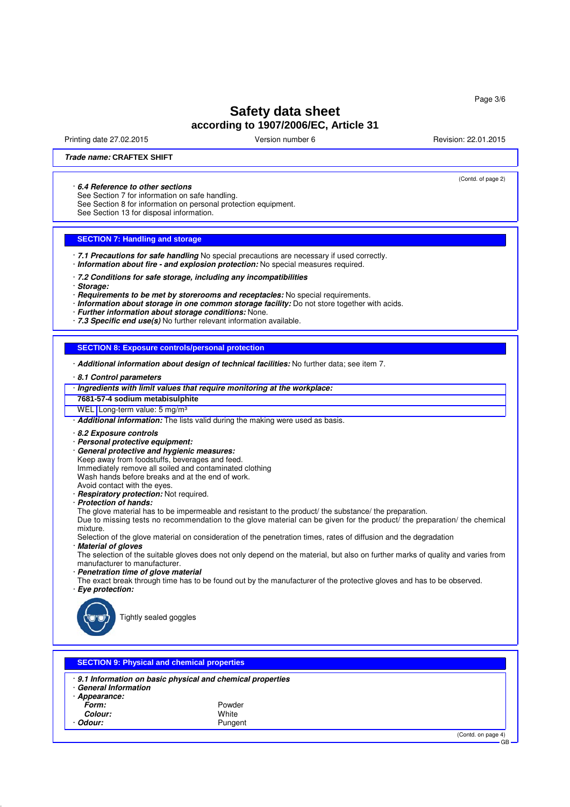Printing date 27.02.2015 Version number 6 Revision: 22.01.2015

(Contd. of page 2)

## **Trade name: CRAFTEX SHIFT**

#### · **6.4 Reference to other sections**

See Section 7 for information on safe handling.

See Section 8 for information on personal protection equipment.

See Section 13 for disposal information.

## **SECTION 7: Handling and storage**

· **7.1 Precautions for safe handling** No special precautions are necessary if used correctly. · **Information about fire - and explosion protection:** No special measures required.

· **7.2 Conditions for safe storage, including any incompatibilities**

- · **Storage:**
- · **Requirements to be met by storerooms and receptacles:** No special requirements.
- · **Information about storage in one common storage facility:** Do not store together with acids.
- · **Further information about storage conditions:** None.
- · **7.3 Specific end use(s)** No further relevant information available.

## **SECTION 8: Exposure controls/personal protection**

· **Additional information about design of technical facilities:** No further data; see item 7.

#### · **8.1 Control parameters**

- · **Ingredients with limit values that require monitoring at the workplace:**
- **7681-57-4 sodium metabisulphite**

WEL Long-term value: 5 mg/m<sup>3</sup>

· **Additional information:** The lists valid during the making were used as basis.

- · **8.2 Exposure controls**
- · **Personal protective equipment:**
- · **General protective and hygienic measures:**
- Keep away from foodstuffs, beverages and feed.
- Immediately remove all soiled and contaminated clothing
- Wash hands before breaks and at the end of work.
- Avoid contact with the eyes.
- · **Respiratory protection:** Not required.
- · **Protection of hands:**

The glove material has to be impermeable and resistant to the product/ the substance/ the preparation.

Due to missing tests no recommendation to the glove material can be given for the product/ the preparation/ the chemical mixture.

Selection of the glove material on consideration of the penetration times, rates of diffusion and the degradation **Material of gloves** 

The selection of the suitable gloves does not only depend on the material, but also on further marks of quality and varies from manufacturer to manufacturer.

· **Penetration time of glove material**

The exact break through time has to be found out by the manufacturer of the protective gloves and has to be observed. · **Eye protection:**



Tightly sealed goggles

| <b>SECTION 9: Physical and chemical properties</b>            |                                                                                |                              |  |  |  |  |
|---------------------------------------------------------------|--------------------------------------------------------------------------------|------------------------------|--|--|--|--|
| <b>General Information</b><br>Appearance:<br>Form:<br>Colour: | . 9.1 Information on basic physical and chemical properties<br>Powder<br>White |                              |  |  |  |  |
| <b>Odour:</b>                                                 | Pungent                                                                        |                              |  |  |  |  |
|                                                               |                                                                                | (Contd. on page 4)<br>$\sim$ |  |  |  |  |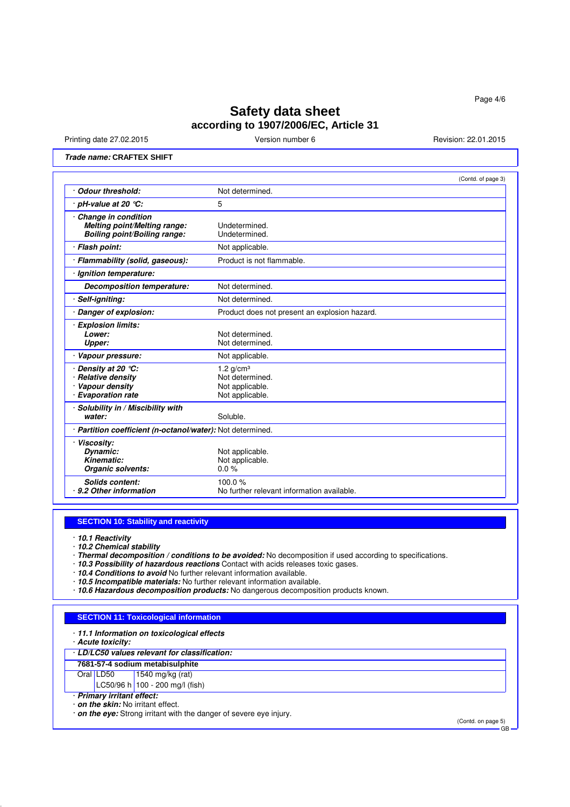Printing date 27.02.2015 **Version number 6** Nevision: 22.01.2015 **Revision: 22.01.2015** 

## **Trade name: CRAFTEX SHIFT**

|                                                                                            | (Contd. of page 3)                                                   |
|--------------------------------------------------------------------------------------------|----------------------------------------------------------------------|
| <b>Odour threshold:</b>                                                                    | Not determined.                                                      |
| pH-value at 20 $°C$ :                                                                      | 5                                                                    |
| Change in condition<br>Melting point/Melting range:<br><b>Boiling point/Boiling range:</b> | Undetermined.<br>Undetermined.                                       |
| · Flash point:                                                                             | Not applicable.                                                      |
| · Flammability (solid, gaseous):                                                           | Product is not flammable.                                            |
| Ignition temperature:                                                                      |                                                                      |
| Decomposition temperature:                                                                 | Not determined.                                                      |
| Self-igniting:                                                                             | Not determined.                                                      |
| · Danger of explosion:                                                                     | Product does not present an explosion hazard.                        |
| <b>Explosion limits:</b><br>Lower:<br>Upper:                                               | Not determined.<br>Not determined.                                   |
| Vapour pressure:                                                                           | Not applicable.                                                      |
| Density at 20 $°C$ :<br><b>Relative density</b><br>Vapour density<br>· Evaporation rate    | 1.2 $g/cm3$<br>Not determined.<br>Not applicable.<br>Not applicable. |
| Solubility in / Miscibility with<br>water:                                                 | Soluble.                                                             |
| · Partition coefficient (n-octanol/water): Not determined.                                 |                                                                      |
| · Viscosity:<br>Dynamic:<br>Kinematic:<br>Organic solvents:                                | Not applicable.<br>Not applicable.<br>0.0%                           |
| Solids content:<br>9.2 Other information                                                   | 100.0 $%$<br>No further relevant information available.              |

## **SECTION 10: Stability and reactivity**

· **10.1 Reactivity**

· **10.2 Chemical stability**

· **Thermal decomposition / conditions to be avoided:** No decomposition if used according to specifications.

· **10.3 Possibility of hazardous reactions** Contact with acids releases toxic gases.

· **10.4 Conditions to avoid** No further relevant information available.

- · **10.5 Incompatible materials:** No further relevant information available.
- · **10.6 Hazardous decomposition products:** No dangerous decomposition products known.

## **SECTION 11: Toxicological information**

|  |  | 11.1 Information on toxicological effects |  |  |  |  |
|--|--|-------------------------------------------|--|--|--|--|
|--|--|-------------------------------------------|--|--|--|--|

· **Acute toxicity:**

## · **LD/LC50 values relevant for classification:**

**7681-57-4 sodium metabisulphite**

## $1540$  mg/kg (rat)

LC50/96 h 100 - 200 mg/l (fish)

· **Primary irritant effect:**

· **on the skin:** No irritant effect.

· **on the eye:** Strong irritant with the danger of severe eye injury.

(Contd. on page 5)  $\mathbf{\hat{G}}$ B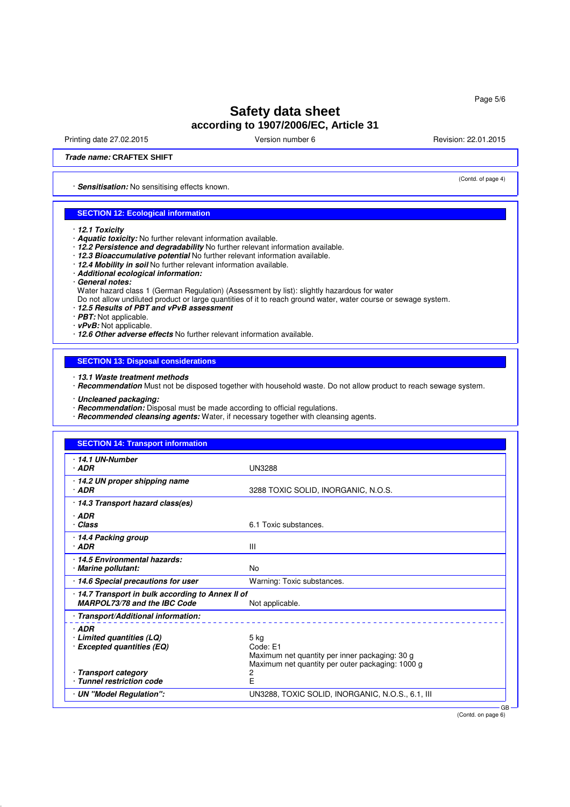Printing date 27.02.2015 **Version number 6** Revision: 22.01.2015 **Revision: 22.01.2015** 

(Contd. of page 4)

## **Trade name: CRAFTEX SHIFT**

· **Sensitisation:** No sensitising effects known.

## **SECTION 12: Ecological information**

- · **12.1 Toxicity**
- · **Aquatic toxicity:** No further relevant information available.
- · **12.2 Persistence and degradability** No further relevant information available.
- · **12.3 Bioaccumulative potential** No further relevant information available.
- · **12.4 Mobility in soil** No further relevant information available.
- · **Additional ecological information:**
- · **General notes:**
- Water hazard class 1 (German Regulation) (Assessment by list): slightly hazardous for water
- Do not allow undiluted product or large quantities of it to reach ground water, water course or sewage system.
- · **12.5 Results of PBT and vPvB assessment**
- · **PBT:** Not applicable.
- · **vPvB:** Not applicable.
- · **12.6 Other adverse effects** No further relevant information available.

## **SECTION 13: Disposal considerations**

- · **13.1 Waste treatment methods**
- · **Recommendation** Must not be disposed together with household waste. Do not allow product to reach sewage system.
- · **Uncleaned packaging:**
- · **Recommendation:** Disposal must be made according to official regulations.
- · **Recommended cleansing agents:** Water, if necessary together with cleansing agents.

| <b>SECTION 14: Transport information</b>                                        |                                                                                                                          |  |
|---------------------------------------------------------------------------------|--------------------------------------------------------------------------------------------------------------------------|--|
| $\cdot$ 14.1 UN-Number<br>· ADR                                                 | <b>UN3288</b>                                                                                                            |  |
| ⋅ 14.2 UN proper shipping name<br>$·$ ADR                                       | 3288 TOXIC SOLID, INORGANIC, N.O.S.                                                                                      |  |
| 14.3 Transport hazard class(es)                                                 |                                                                                                                          |  |
| $·$ ADR<br>· Class                                                              | 6.1 Toxic substances.                                                                                                    |  |
| 14.4 Packing group<br>· ADR                                                     | $\mathbf{III}$                                                                                                           |  |
| 14.5 Environmental hazards:<br><b>Marine pollutant:</b>                         | <b>No</b>                                                                                                                |  |
| 14.6 Special precautions for user                                               | Warning: Toxic substances.                                                                                               |  |
| 14.7 Transport in bulk according to Annex II of<br>MARPOL73/78 and the IBC Code | Not applicable.                                                                                                          |  |
| Transport/Additional information:                                               |                                                                                                                          |  |
| $·$ ADR<br>· Limited quantities (LQ)<br>· Excepted quantities (EQ)              | $5$ kg<br>Code: E1<br>Maximum net quantity per inner packaging: 30 g<br>Maximum net quantity per outer packaging: 1000 g |  |
| · Transport category<br>· Tunnel restriction code                               | F                                                                                                                        |  |
| · UN "Model Regulation":                                                        | UN3288, TOXIC SOLID, INORGANIC, N.O.S., 6.1, III                                                                         |  |

(Contd. on page 6)